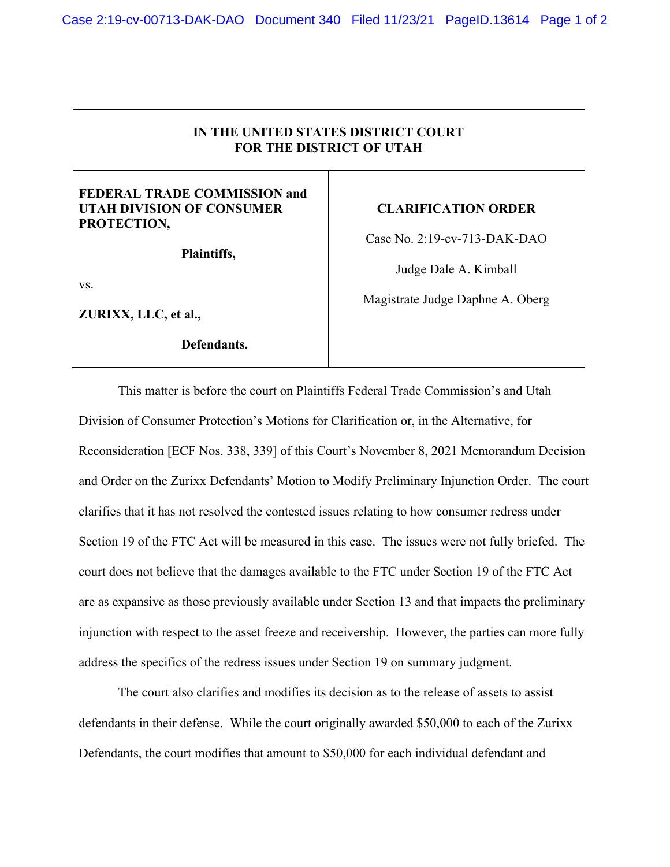## **IN THE UNITED STATES DISTRICT COURT FOR THE DISTRICT OF UTAH**

## **FEDERAL TRADE COMMISSION and UTAH DIVISION OF CONSUMER PROTECTION,**

**Plaintiffs,** 

vs.

**ZURIXX, LLC, et al.,** 

**Defendants.** 

## **CLARIFICATION ORDER**

Case No. 2:19-cv-713-DAK-DAO

Judge Dale A. Kimball

Magistrate Judge Daphne A. Oberg

 This matter is before the court on Plaintiffs Federal Trade Commission's and Utah Division of Consumer Protection's Motions for Clarification or, in the Alternative, for Reconsideration [ECF Nos. 338, 339] of this Court's November 8, 2021 Memorandum Decision and Order on the Zurixx Defendants' Motion to Modify Preliminary Injunction Order. The court clarifies that it has not resolved the contested issues relating to how consumer redress under Section 19 of the FTC Act will be measured in this case. The issues were not fully briefed. The court does not believe that the damages available to the FTC under Section 19 of the FTC Act are as expansive as those previously available under Section 13 and that impacts the preliminary injunction with respect to the asset freeze and receivership. However, the parties can more fully address the specifics of the redress issues under Section 19 on summary judgment.

The court also clarifies and modifies its decision as to the release of assets to assist defendants in their defense. While the court originally awarded \$50,000 to each of the Zurixx Defendants, the court modifies that amount to \$50,000 for each individual defendant and